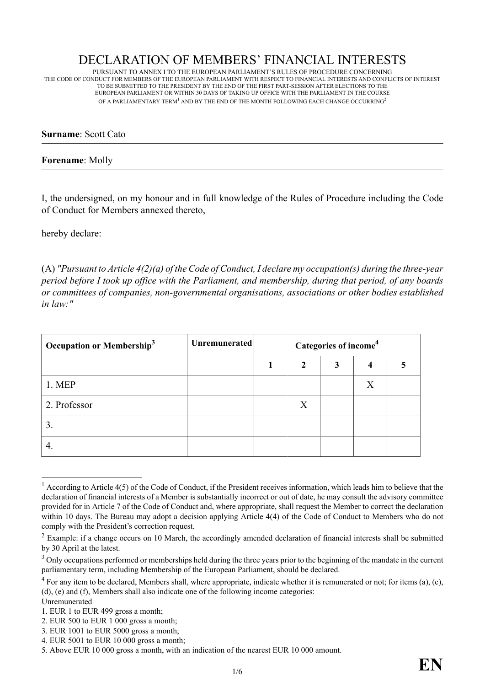# DECLARATION OF MEMBERS' FINANCIAL INTERESTS

PURSUANT TO ANNEX I TO THE EUROPEAN PARLIAMENT'S RULES OF PROCEDURE CONCERNING THE CODE OF CONDUCT FOR MEMBERS OF THE EUROPEAN PARLIAMENT WITH RESPECT TO FINANCIAL INTERESTS AND CONFLICTS OF INTEREST TO BE SUBMITTED TO THE PRESIDENT BY THE END OF THE FIRST PART-SESSION AFTER ELECTIONS TO THE EUROPEAN PARLIAMENT OR WITHIN 30 DAYS OF TAKING UP OFFICE WITH THE PARLIAMENT IN THE COURSE OF A PARLIAMENTARY TERM $^{\rm l}$  and by the end of the month following each change occurring $^{\rm 2}$ 

## **Surname**: Scott Cato

## **Forename**: Molly

I, the undersigned, on my honour and in full knowledge of the Rules of Procedure including the Code of Conduct for Members annexed thereto,

hereby declare:

(A) *"Pursuant to Article 4(2)(a) of the Code of Conduct, I declare my occupation(s) during the three-year period before I took up office with the Parliament, and membership, during that period, of any boards or committees of companies, non-governmental organisations, associations or other bodies established in law:"*

| Occupation or Membership <sup>3</sup> | <b>Unremunerated</b> | Categories of income <sup>4</sup> |   |   |   |  |
|---------------------------------------|----------------------|-----------------------------------|---|---|---|--|
|                                       |                      |                                   | 2 | 3 | 4 |  |
| 1. MEP                                |                      |                                   |   |   | X |  |
| 2. Professor                          |                      |                                   | X |   |   |  |
| 3.                                    |                      |                                   |   |   |   |  |
|                                       |                      |                                   |   |   |   |  |

 $1$  According to Article 4(5) of the Code of Conduct, if the President receives information, which leads him to believe that the declaration of financial interests of a Member is substantially incorrect or out of date, he may consult the advisory committee provided for in Article 7 of the Code of Conduct and, where appropriate, shall request the Member to correct the declaration within 10 days. The Bureau may adopt a decision applying Article 4(4) of the Code of Conduct to Members who do not comply with the President's correction request.

<sup>5.</sup> Above EUR 10 000 gross a month, with an indication of the nearest EUR 10 000 amount.



 $2$  Example: if a change occurs on 10 March, the accordingly amended declaration of financial interests shall be submitted by 30 April at the latest.

 $3$  Only occupations performed or memberships held during the three years prior to the beginning of the mandate in the current parliamentary term, including Membership of the European Parliament, should be declared.

 $4$  For any item to be declared, Members shall, where appropriate, indicate whether it is remunerated or not; for items (a), (c), (d), (e) and (f), Members shall also indicate one of the following income categories:

Unremunerated

<sup>1.</sup> EUR 1 to EUR 499 gross a month;

<sup>2.</sup> EUR 500 to EUR 1 000 gross a month;

<sup>3.</sup> EUR 1001 to EUR 5000 gross a month;

<sup>4.</sup> EUR 5001 to EUR 10 000 gross a month;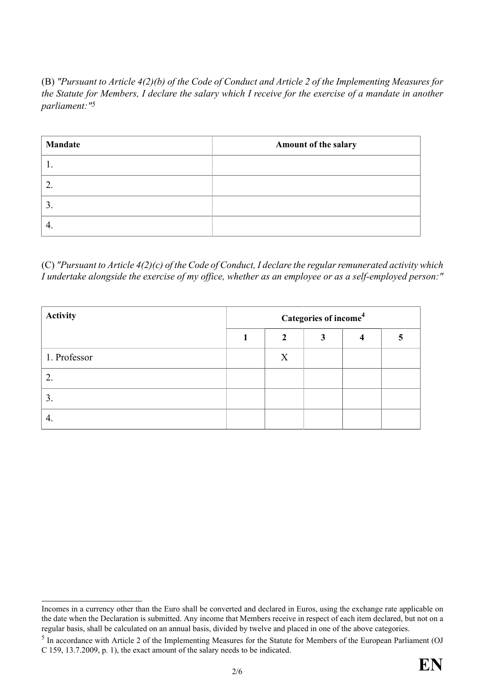(B) *"Pursuant to Article 4(2)(b) of the Code of Conduct and Article 2 of the Implementing Measures for the Statute for Members, I declare the salary which I receive for the exercise of a mandate in another parliament:"5*

| <b>Mandate</b> | Amount of the salary |
|----------------|----------------------|
|                |                      |
|                |                      |
| 3.             |                      |
|                |                      |

(C) *"Pursuant to Article 4(2)(c) of the Code of Conduct, I declare the regular remunerated activity which I undertake alongside the exercise of my office, whether as an employee or as a self-employed person:"*

| <b>Activity</b> | Categories of income <sup>4</sup> |              |  |  |  |  |
|-----------------|-----------------------------------|--------------|--|--|--|--|
|                 |                                   | $\mathbf{2}$ |  |  |  |  |
| 1. Professor    |                                   | X            |  |  |  |  |
|                 |                                   |              |  |  |  |  |
| 3.              |                                   |              |  |  |  |  |
|                 |                                   |              |  |  |  |  |

<sup>&</sup>lt;sup>5</sup> In accordance with Article 2 of the Implementing Measures for the Statute for Members of the European Parliament (OJ C 159, 13.7.2009, p. 1), the exact amount of the salary needs to be indicated.



Incomes in a currency other than the Euro shall be converted and declared in Euros, using the exchange rate applicable on the date when the Declaration is submitted. Any income that Members receive in respect of each item declared, but not on a regular basis, shall be calculated on an annual basis, divided by twelve and placed in one of the above categories.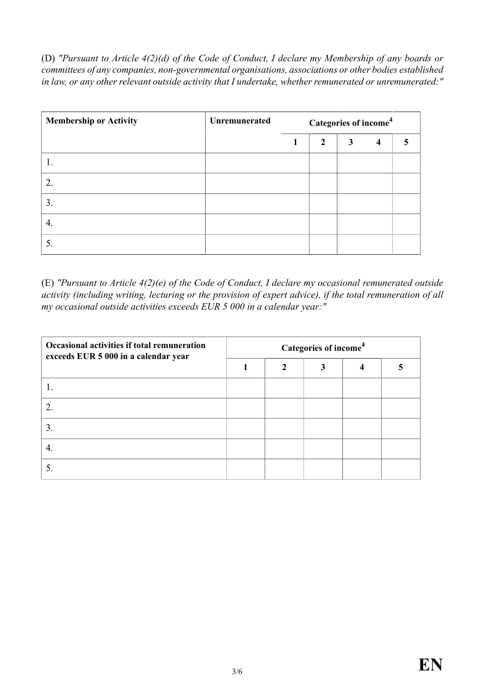(D) *"Pursuant to Article 4(2)(d) of the Code of Conduct, I declare my Membership of any boards or committees of any companies, non-governmental organisations, associations or other bodies established in law, or any other relevant outside activity that I undertake, whether remunerated or unremunerated:"*

| <b>Membership or Activity</b> | Unremunerated | Categories of income <sup>4</sup> |                |   |                         |  |
|-------------------------------|---------------|-----------------------------------|----------------|---|-------------------------|--|
|                               |               |                                   | $\overline{2}$ | 3 | $\overline{\mathbf{4}}$ |  |
|                               |               |                                   |                |   |                         |  |
| 2.                            |               |                                   |                |   |                         |  |
| 3.                            |               |                                   |                |   |                         |  |
| 4.                            |               |                                   |                |   |                         |  |
| C.                            |               |                                   |                |   |                         |  |

(E) *"Pursuant to Article 4(2)(e) of the Code of Conduct, I declare my occasional remunerated outside activity (including writing, lecturing or the provision of expert advice), if the total remuneration of all my occasional outside activities exceeds EUR 5 000 in a calendar year:"*

| Occasional activities if total remuneration<br>exceeds EUR 5 000 in a calendar year | Categories of income <sup>4</sup> |                |   |  |  |  |  |
|-------------------------------------------------------------------------------------|-----------------------------------|----------------|---|--|--|--|--|
|                                                                                     |                                   | $\mathfrak{D}$ | 3 |  |  |  |  |
|                                                                                     |                                   |                |   |  |  |  |  |
| $\mathcal{D}_{\mathcal{L}}$                                                         |                                   |                |   |  |  |  |  |
| 3 <sub>1</sub>                                                                      |                                   |                |   |  |  |  |  |
|                                                                                     |                                   |                |   |  |  |  |  |
|                                                                                     |                                   |                |   |  |  |  |  |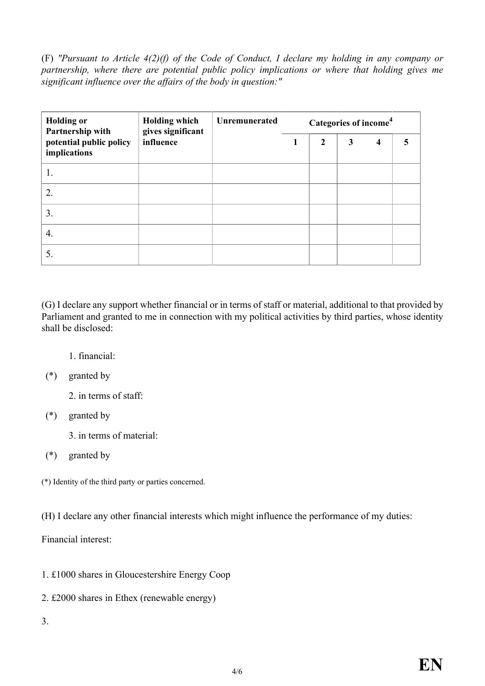(F) *"Pursuant to Article 4(2)(f) of the Code of Conduct, I declare my holding in any company or partnership, where there are potential public policy implications or where that holding gives me significant influence over the affairs of the body in question:"*

| <b>Holding or</b><br>Partnership with   | <b>Holding which</b><br>gives significant | <b>Unremunerated</b>     | Categories of income <sup>4</sup> |                         |  |  |  |
|-----------------------------------------|-------------------------------------------|--------------------------|-----------------------------------|-------------------------|--|--|--|
| potential public policy<br>implications | influence                                 | $\overline{2}$<br>3<br>1 |                                   | $\overline{\mathbf{4}}$ |  |  |  |
| 1.                                      |                                           |                          |                                   |                         |  |  |  |
| $\overline{2}$ .                        |                                           |                          |                                   |                         |  |  |  |
| 3.                                      |                                           |                          |                                   |                         |  |  |  |
| 4.                                      |                                           |                          |                                   |                         |  |  |  |
| 5.                                      |                                           |                          |                                   |                         |  |  |  |

(G) I declare any support whether financial or in terms of staff or material, additional to that provided by Parliament and granted to me in connection with my political activities by third parties, whose identity shall be disclosed:

1. financial:

(\*) granted by

2. in terms of staff:

- (\*) granted by
	- 3. in terms of material:
- (\*) granted by

(\*) Identity of the third party or parties concerned.

(H) I declare any other financial interests which might influence the performance of my duties:

Financial interest:

- 1. £1000 shares in Gloucestershire Energy Coop
- 2. £2000 shares in Ethex (renewable energy)
- 3.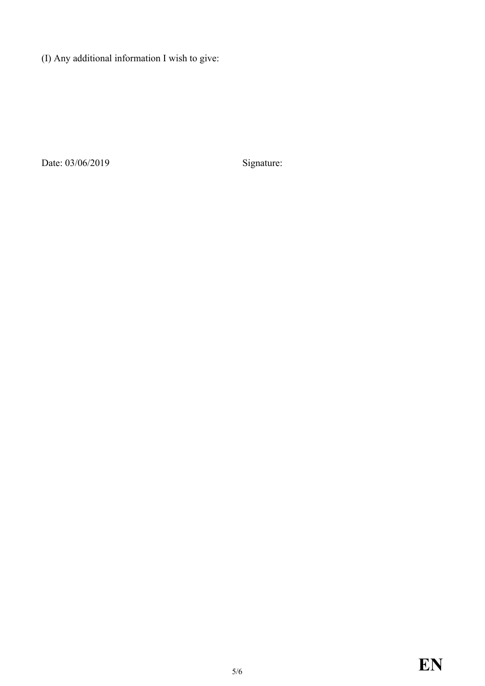(I) Any additional information I wish to give:

Date: 03/06/2019 Signature: